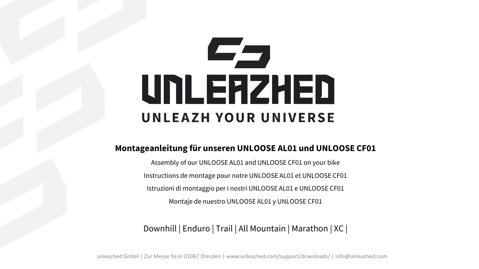## رصرصا UNLERZHED UNLEAZH YOUR UNIVERSE

## **Montageanleitung für unseren UNLOOSE AL01 und UNLOOSE CF01**

Assembly of our UNLOOSE AL01 and UNLOOSE CF01 on your bike Instructions de montage pour notre UNLOOSE AL01 et UNLOOSE CF01 Istruzioni di montaggio per i nostri UNLOOSE AL01 e UNLOOSE CF01 Montaje de nuestro UNLOOSE AL01 y UNLOOSE CF01

Downhill | Enduro | Trail | All Mountain | Marathon | XC |

unleazhed GmbH | Zur Messe 9a in 01067 Dresden | www.unleazhed.com/support/downloads/ | info@unleazhed.com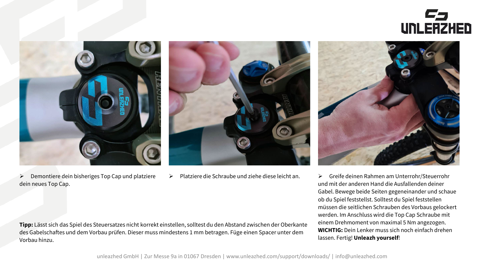



 $\triangleright$  Demontiere dein bisheriges Top Cap und platziere dein neues Top Cap.





 Platziere die Schraube und ziehe diese leicht an. Greife deinen Rahmen am Unterrohr/Steuerrohr und mit der anderen Hand die Ausfallenden deiner Gabel. Bewege beide Seiten gegeneinander und schaue ob du Spiel feststellst. Solltest du Spiel feststellen müssen die seitlichen Schrauben des Vorbaus gelockert werden. Im Anschluss wird die Top Cap Schraube mit einem Drehmoment von maximal 5 Nm angezogen. **WICHTIG:** Dein Lenker muss sich noch einfach drehen lassen. Fertig! **Unleazh yourself**!

**Tipp:** Lässt sich das Spiel des Steuersatzes nicht korrekt einstellen, solltest du den Abstand zwischen der Oberkante des Gabelschaftes und dem Vorbau prüfen. Dieser muss mindestens 1 mm betragen. Füge einen Spacer unter dem Vorbau hinzu.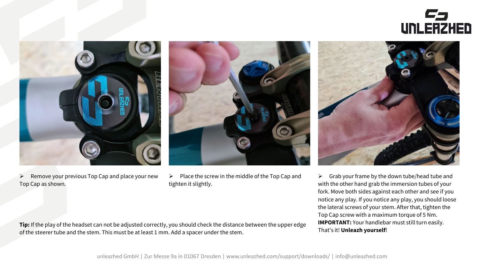



 $\triangleright$  Remove your previous Top Cap and place your new Top Cap as shown.



 $\triangleright$  Place the screw in the middle of the Top Cap and tighten it slightly.



 $\triangleright$  Grab your frame by the down tube/head tube and with the other hand grab the immersion tubes of your fork. Move both sides against each other and see if you notice any play. If you notice any play, you should loose the lateral screws of your stem. After that, tighten the Top Cap screw with a maximum torque of 5 Nm. **IMPORTANT:** Your handlebar must still turn easily. That's it! **Unleazh yourself**!

**Tip:** If the play of the headset can not be adjusted correctly, you should check the distance between the upper edge of the steerer tube and the stem. This must be at least 1 mm. Add a spacer under the stem.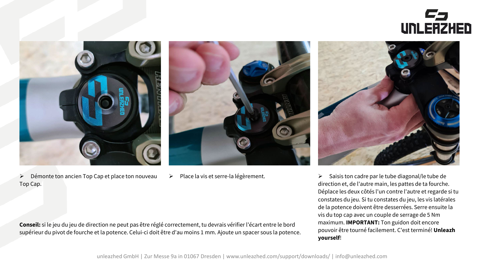



 $\triangleright$  Démonte ton ancien Top Cap et place ton nouveau Top Cap.





▶ Place la vis et serre-la légèrement. Saisis ton cadre par le tube diagonal/le tube de direction et, de l'autre main, les pattes de ta fourche. Déplace les deux côtés l'un contre l'autre et regarde si tu constates du jeu. Si tu constates du jeu, les vis latérales de la potence doivent être desserrées. Serre ensuite la vis du top cap avec un couple de serrage de 5 Nm maximum. **IMPORTANT:** Ton guidon doit encore pouvoir être tourné facilement. C'est terminé! **Unleazh yourself**!

**Conseil:** si le jeu du jeu de direction ne peut pas être réglé correctement, tu devrais vérifier l'écart entre le bord supérieur du pivot de fourche et la potence. Celui-ci doit être d'au moins 1 mm. Ajoute un spacer sous la potence.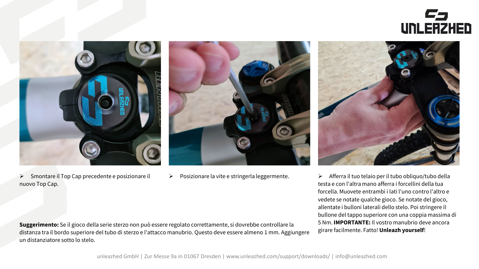



 $\triangleright$  Smontare il Top Cap precedente e posizionare il nuovo Top Cap.





▶ Posizionare la vite e stringerla leggermente. → Afferra il tuo telaio per il tubo obliquo/tubo della testa e con l'altra mano afferra i forcellini della tua forcella. Muovete entrambi i lati l'uno contro l'altro e vedete se notate qualche gioco. Se notate del gioco, allentate i bulloni laterali dello stelo. Poi stringere il bullone del tappo superiore con una coppia massima di 5 Nm. **IMPORTANTE:** Il vostro manubrio deve ancora girare facilmente. Fatto! **Unleazh yourself**!

**Suggerimento:** Se il gioco della serie sterzo non può essere regolato correttamente, si dovrebbe controllare la distanza tra il bordo superiore del tubo di sterzo e l'attacco manubrio. Questo deve essere almeno 1 mm. Aggiungere un distanziatore sotto lo stelo.

unleazhed GmbH | Zur Messe 9a in 01067 Dresden | www.unleazhed.com/support/downloads/ | info@unleazhed.com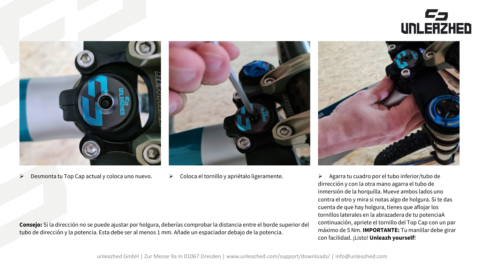



 $\triangleright$  Desmonta tu Top Cap actual y coloca uno nuevo.





 $\triangleright$  Coloca el tornillo y apriétalo ligeramente.  $\triangleright$  Agarra tu cuadro por el tubo inferior/tubo de dirrección y con la otra mano agarra el tubo de inmersión de la horquilla. Mueve ambos lados uno contra el otro y mira si notas algo de holgura. Si te das cuenta de que hay holgura, tienes que aflojar los tornillos laterales en la abrazadera de tu potenciaA continuación, apriete el tornillo del Top Cap con un par máximo de 5 Nm. **IMPORTANTE:** Tu manillar debe girar con facilidad. ¡Listo! **Unleazh yourself**!

**Consejo:** Si la dirección no se puede ajustar por holgura, deberías comprobar la distancia entre el borde superior del tubo de dirección y la potencia. Esta debe ser al menos 1 mm. Añade un espaciador debajo de la potencia.